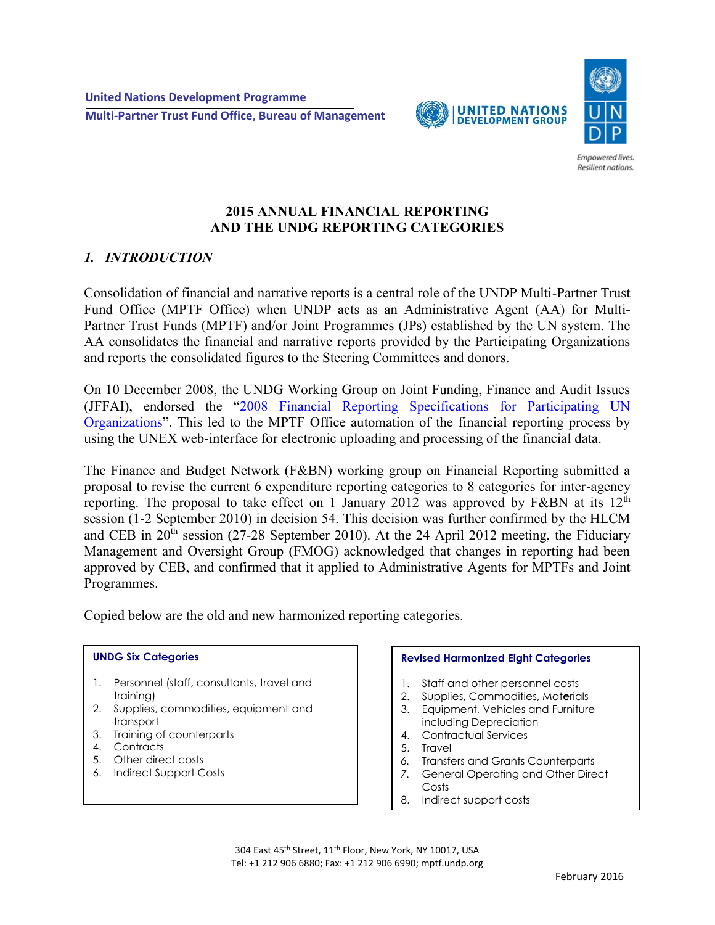



Empowered lives. Resilient nations.

### **2015 ANNUAL FINANCIAL REPORTING AND THE UNDG REPORTING CATEGORIES**

# *1. INTRODUCTION*

Consolidation of financial and narrative reports is a central role of the UNDP Multi-Partner Trust Fund Office (MPTF Office) when UNDP acts as an Administrative Agent (AA) for Multi-Partner Trust Funds (MPTF) and/or Joint Programmes (JPs) established by the UN system. The AA consolidates the financial and narrative reports provided by the Participating Organizations and reports the consolidated figures to the Steering Committees and donors.

On 10 December 2008, the UNDG Working Group on Joint Funding, Finance and Audit Issues (JFFAI), endorsed the "[2008 Financial Reporting Specifications for Participating UN](http://mdtf.undp.org/document/download/4)  [Organizations](http://mdtf.undp.org/document/download/4)". This led to the MPTF Office automation of the financial reporting process by using the UNEX web-interface for electronic uploading and processing of the financial data.

The Finance and Budget Network (F&BN) working group on Financial Reporting submitted a proposal to revise the current 6 expenditure reporting categories to 8 categories for inter-agency reporting. The proposal to take effect on 1 January 2012 was approved by F&BN at its  $12<sup>th</sup>$ session (1-2 September 2010) in decision 54. This decision was further confirmed by the HLCM and CEB in  $20<sup>th</sup>$  session (27-28 September 2010). At the 24 April 2012 meeting, the Fiduciary Management and Oversight Group (FMOG) acknowledged that changes in reporting had been approved by CEB, and confirmed that it applied to Administrative Agents for MPTFs and Joint Programmes.

Copied below are the old and new harmonized reporting categories.

#### **UNDG Six Categories**

- 1. Personnel (staff, consultants, travel and training)
- 2. Supplies, commodities, equipment and transport
- 3. Training of counterparts
- 4. Contracts
- 5. Other direct costs
- 6. Indirect Support Costs

#### **Revised Harmonized Eight Categories**

- 1. Staff and other personnel costs
- 2. Supplies, Commodities, Mat**e**rials
- 3. Equipment, Vehicles and Furniture including Depreciation
- 4. Contractual Services
- 5. Travel
- *6.* Transfers and Grants Counterparts
- *7.* General Operating and Other Direct Costs
- 8. Indirect support costs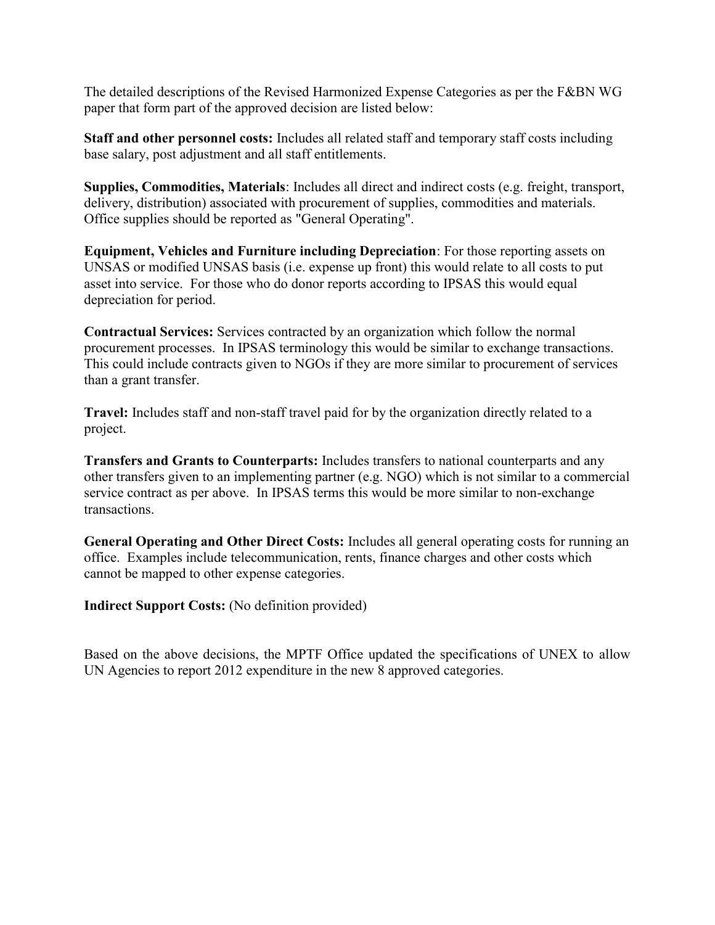The detailed descriptions of the Revised Harmonized Expense Categories as per the F&BN WG paper that form part of the approved decision are listed below:

**Staff and other personnel costs:** Includes all related staff and temporary staff costs including base salary, post adjustment and all staff entitlements.

**Supplies, Commodities, Materials**: Includes all direct and indirect costs (e.g. freight, transport, delivery, distribution) associated with procurement of supplies, commodities and materials. Office supplies should be reported as "General Operating".

**Equipment, Vehicles and Furniture including Depreciation**: For those reporting assets on UNSAS or modified UNSAS basis (i.e. expense up front) this would relate to all costs to put asset into service. For those who do donor reports according to IPSAS this would equal depreciation for period.

**Contractual Services:** Services contracted by an organization which follow the normal procurement processes. In IPSAS terminology this would be similar to exchange transactions. This could include contracts given to NGOs if they are more similar to procurement of services than a grant transfer.

**Travel:** Includes staff and non-staff travel paid for by the organization directly related to a project.

**Transfers and Grants to Counterparts:** Includes transfers to national counterparts and any other transfers given to an implementing partner (e.g. NGO) which is not similar to a commercial service contract as per above. In IPSAS terms this would be more similar to non-exchange transactions.

**General Operating and Other Direct Costs:** Includes all general operating costs for running an office. Examples include telecommunication, rents, finance charges and other costs which cannot be mapped to other expense categories.

**Indirect Support Costs:** (No definition provided)

Based on the above decisions, the MPTF Office updated the specifications of UNEX to allow UN Agencies to report 2012 expenditure in the new 8 approved categories.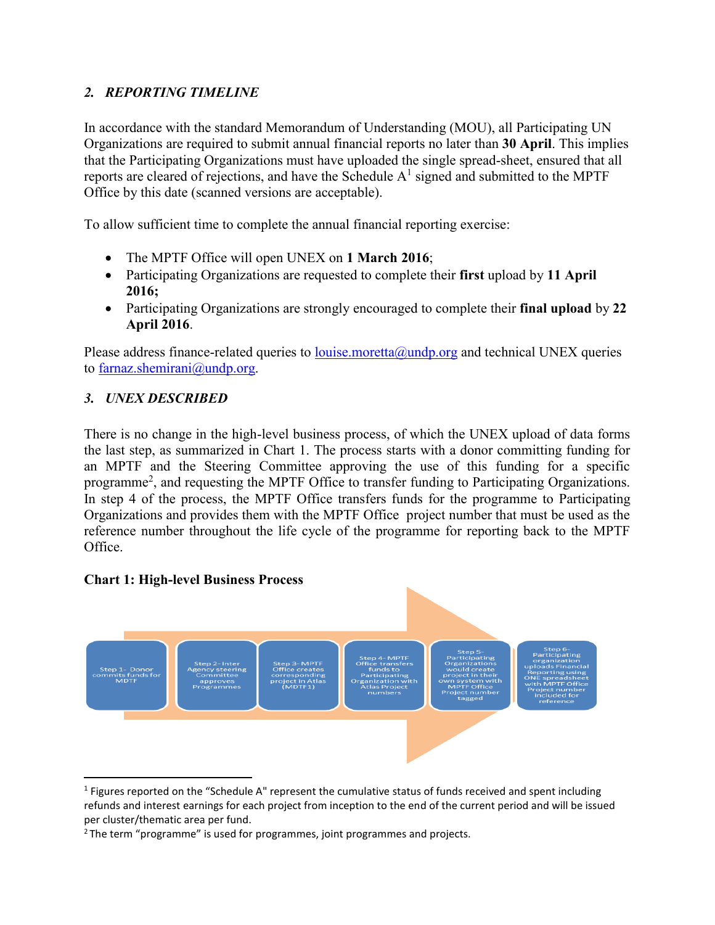# *2. REPORTING TIMELINE*

In accordance with the standard Memorandum of Understanding (MOU), all Participating UN Organizations are required to submit annual financial reports no later than **30 April**. This implies that the Participating Organizations must have uploaded the single spread-sheet, ensured that all reports are cleared of rejections, and have the Schedule  $A<sup>1</sup>$  signed and submitted to the MPTF Office by this date (scanned versions are acceptable).

To allow sufficient time to complete the annual financial reporting exercise:

- The MPTF Office will open UNEX on **1 March 2016**;
- Participating Organizations are requested to complete their **first** upload by **11 April 2016;**
- Participating Organizations are strongly encouraged to complete their **final upload** by **22 April 2016**.

Please address finance-related queries to louise moretta@undp.org and technical UNEX queries to [farnaz.shemirani@undp.org.](../../../valentina.azzarello/AppData/Local/valentina.azzarello/AppData/Local/Microsoft/Windows/Temporary%20Internet%20Files/Content.Outlook/QG2EODN2/farnaz.shemirani@undp.org)

## *3. UNEX DESCRIBED*

There is no change in the high-level business process, of which the UNEX upload of data forms the last step, as summarized in Chart 1. The process starts with a donor committing funding for an MPTF and the Steering Committee approving the use of this funding for a specific programme<sup>2</sup>, and requesting the MPTF Office to transfer funding to Participating Organizations. In step 4 of the process, the MPTF Office transfers funds for the programme to Participating Organizations and provides them with the MPTF Office project number that must be used as the reference number throughout the life cycle of the programme for reporting back to the MPTF Office.

### **Chart 1: High-level Business Process**



<sup>&</sup>lt;sup>1</sup> Figures reported on the "Schedule A" represent the cumulative status of funds received and spent including refunds and interest earnings for each project from inception to the end of the current period and will be issued per cluster/thematic area per fund.

<sup>&</sup>lt;sup>2</sup>The term "programme" is used for programmes, joint programmes and projects.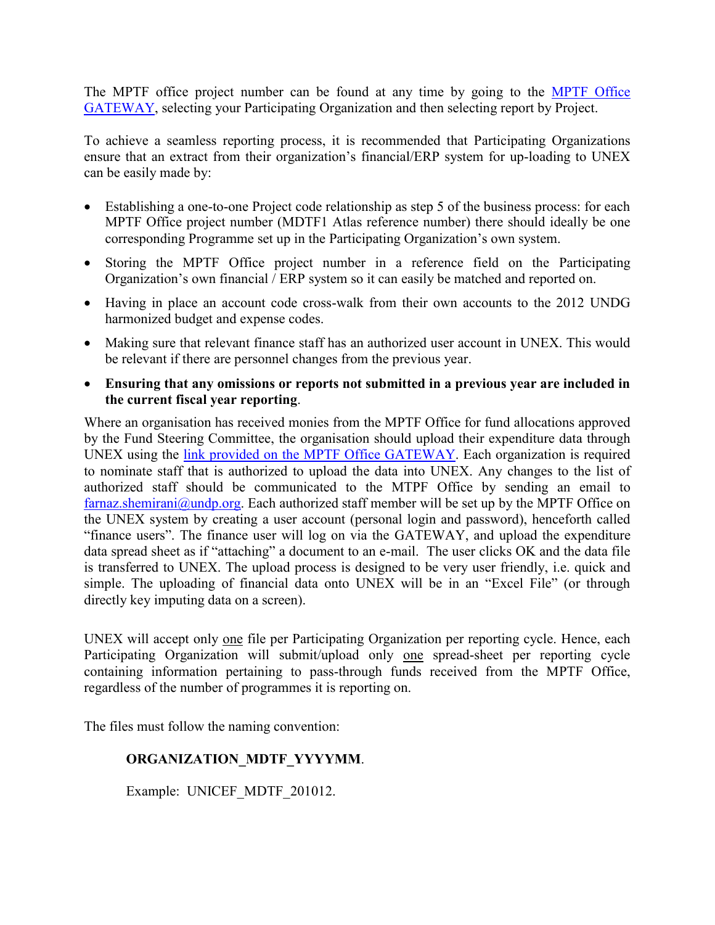The MPTF office project number can be found at any time by going to the [MPTF Office](http://mdtf.undp.org/)  [GATEWAY,](http://mdtf.undp.org/) selecting your Participating Organization and then selecting report by Project.

To achieve a seamless reporting process, it is recommended that Participating Organizations ensure that an extract from their organization's financial/ERP system for up-loading to UNEX can be easily made by:

- Establishing a one-to-one Project code relationship as step 5 of the business process: for each MPTF Office project number (MDTF1 Atlas reference number) there should ideally be one corresponding Programme set up in the Participating Organization's own system.
- Storing the MPTF Office project number in a reference field on the Participating Organization's own financial / ERP system so it can easily be matched and reported on.
- Having in place an account code cross-walk from their own accounts to the 2012 UNDG harmonized budget and expense codes.
- Making sure that relevant finance staff has an authorized user account in UNEX. This would be relevant if there are personnel changes from the previous year.
- **Ensuring that any omissions or reports not submitted in a previous year are included in the current fiscal year reporting**.

Where an organisation has received monies from the MPTF Office for fund allocations approved by the Fund Steering Committee, the organisation should upload their expenditure data through UNEX using the [link provided on the MPTF Office GATEWAY.](http://unex.undp.org/Login.asp) Each organization is required to nominate staff that is authorized to upload the data into UNEX. Any changes to the list of authorized staff should be communicated to the MTPF Office by sending an email to [farnaz.shemirani@undp.org.](../../../valentina.azzarello/AppData/Local/valentina.azzarello/AppData/Local/Microsoft/Windows/Temporary%20Internet%20Files/Content.Outlook/QG2EODN2/farnaz.shemirani@undp.org) Each authorized staff member will be set up by the MPTF Office on the UNEX system by creating a user account (personal login and password), henceforth called "finance users". The finance user will log on via the GATEWAY, and upload the expenditure data spread sheet as if "attaching" a document to an e-mail. The user clicks OK and the data file is transferred to UNEX. The upload process is designed to be very user friendly, i.e. quick and simple. The uploading of financial data onto UNEX will be in an "Excel File" (or through directly key imputing data on a screen).

UNEX will accept only one file per Participating Organization per reporting cycle. Hence, each Participating Organization will submit/upload only one spread-sheet per reporting cycle containing information pertaining to pass-through funds received from the MPTF Office, regardless of the number of programmes it is reporting on.

The files must follow the naming convention:

## **ORGANIZATION\_MDTF\_YYYYMM**.

Example: UNICEF MDTF 201012.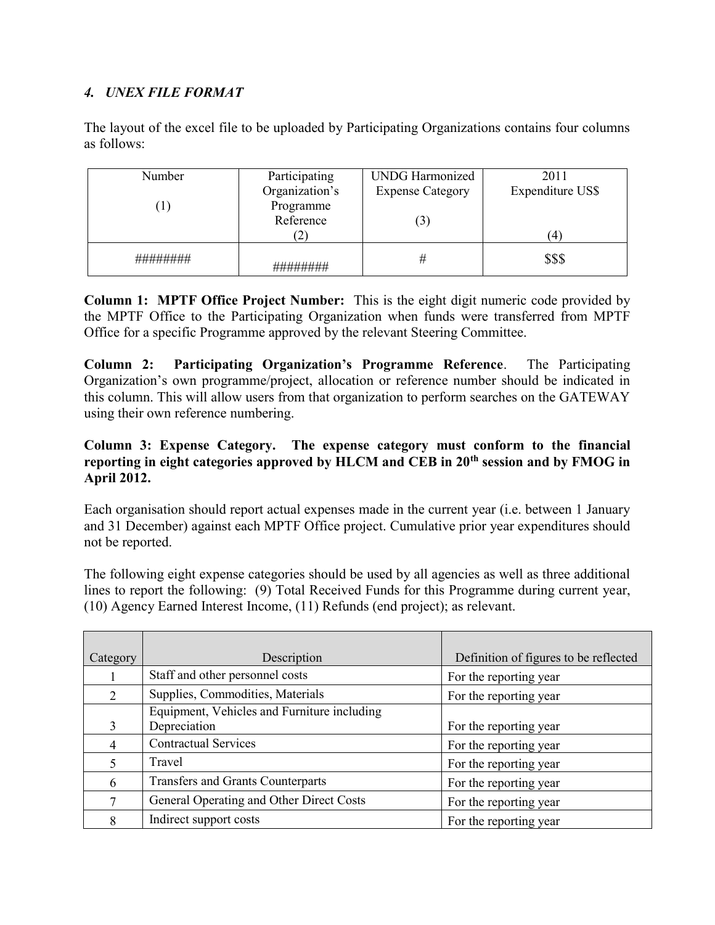## *4. UNEX FILE FORMAT*

The layout of the excel file to be uploaded by Participating Organizations contains four columns as follows:

| Participating  | <b>UNDG Harmonized</b>         | 2011             |
|----------------|--------------------------------|------------------|
| Organization's | <b>Expense Category</b>        | Expenditure US\$ |
| Programme      |                                |                  |
| Reference      | $\mathfrak{c}_1$               |                  |
|                |                                | 4                |
|                | Ħ                              | \$\$\$           |
|                | <del>;;;;;;;;;;;;;;;;;;;</del> |                  |

**Column 1: MPTF Office Project Number:** This is the eight digit numeric code provided by the MPTF Office to the Participating Organization when funds were transferred from MPTF Office for a specific Programme approved by the relevant Steering Committee.

**Column 2: Participating Organization's Programme Reference**. The Participating Organization's own programme/project, allocation or reference number should be indicated in this column. This will allow users from that organization to perform searches on the GATEWAY using their own reference numbering.

### **Column 3: Expense Category. The expense category must conform to the financial reporting in eight categories approved by HLCM and CEB in 20th session and by FMOG in April 2012.**

Each organisation should report actual expenses made in the current year (i.e. between 1 January and 31 December) against each MPTF Office project. Cumulative prior year expenditures should not be reported.

The following eight expense categories should be used by all agencies as well as three additional lines to report the following: (9) Total Received Funds for this Programme during current year, (10) Agency Earned Interest Income, (11) Refunds (end project); as relevant.

| Category      | Description                                 | Definition of figures to be reflected |
|---------------|---------------------------------------------|---------------------------------------|
|               | Staff and other personnel costs             | For the reporting year                |
| $\mathcal{D}$ | Supplies, Commodities, Materials            | For the reporting year                |
|               | Equipment, Vehicles and Furniture including |                                       |
| 3             | Depreciation                                | For the reporting year                |
| 4             | <b>Contractual Services</b>                 | For the reporting year                |
|               | Travel                                      | For the reporting year                |
| 6             | <b>Transfers and Grants Counterparts</b>    | For the reporting year                |
|               | General Operating and Other Direct Costs    | For the reporting year                |
| 8             | Indirect support costs                      | For the reporting year                |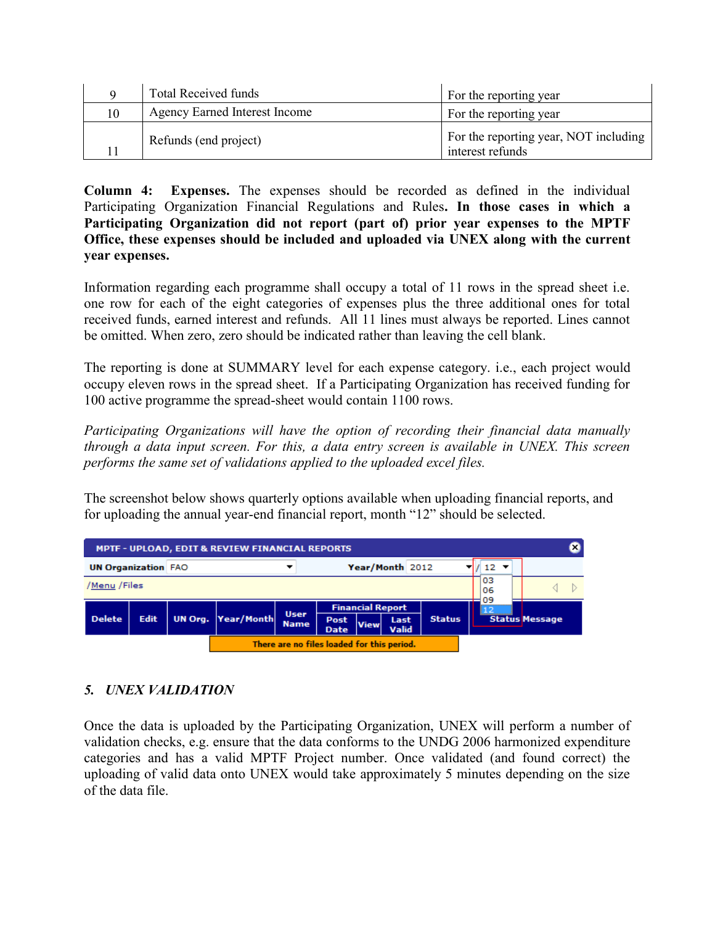|    | <b>Total Received funds</b>          | For the reporting year                                    |
|----|--------------------------------------|-----------------------------------------------------------|
| 10 | <b>Agency Earned Interest Income</b> | For the reporting year                                    |
|    | Refunds (end project)                | For the reporting year, NOT including<br>interest refunds |

**Column 4: Expenses.** The expenses should be recorded as defined in the individual Participating Organization Financial Regulations and Rules**. In those cases in which a Participating Organization did not report (part of) prior year expenses to the MPTF Office, these expenses should be included and uploaded via UNEX along with the current year expenses.** 

Information regarding each programme shall occupy a total of 11 rows in the spread sheet i.e. one row for each of the eight categories of expenses plus the three additional ones for total received funds, earned interest and refunds. All 11 lines must always be reported. Lines cannot be omitted. When zero, zero should be indicated rather than leaving the cell blank.

The reporting is done at SUMMARY level for each expense category. i.e., each project would occupy eleven rows in the spread sheet. If a Participating Organization has received funding for 100 active programme the spread-sheet would contain 1100 rows.

*Participating Organizations will have the option of recording their financial data manually through a data input screen. For this, a data entry screen is available in UNEX. This screen performs the same set of validations applied to the uploaded excel files.* 

The screenshot below shows quarterly options available when uploading financial reports, and for uploading the annual year-end financial report, month "12" should be selected.



## *5. UNEX VALIDATION*

Once the data is uploaded by the Participating Organization, UNEX will perform a number of validation checks, e.g. ensure that the data conforms to the UNDG 2006 harmonized expenditure categories and has a valid MPTF Project number. Once validated (and found correct) the uploading of valid data onto UNEX would take approximately 5 minutes depending on the size of the data file.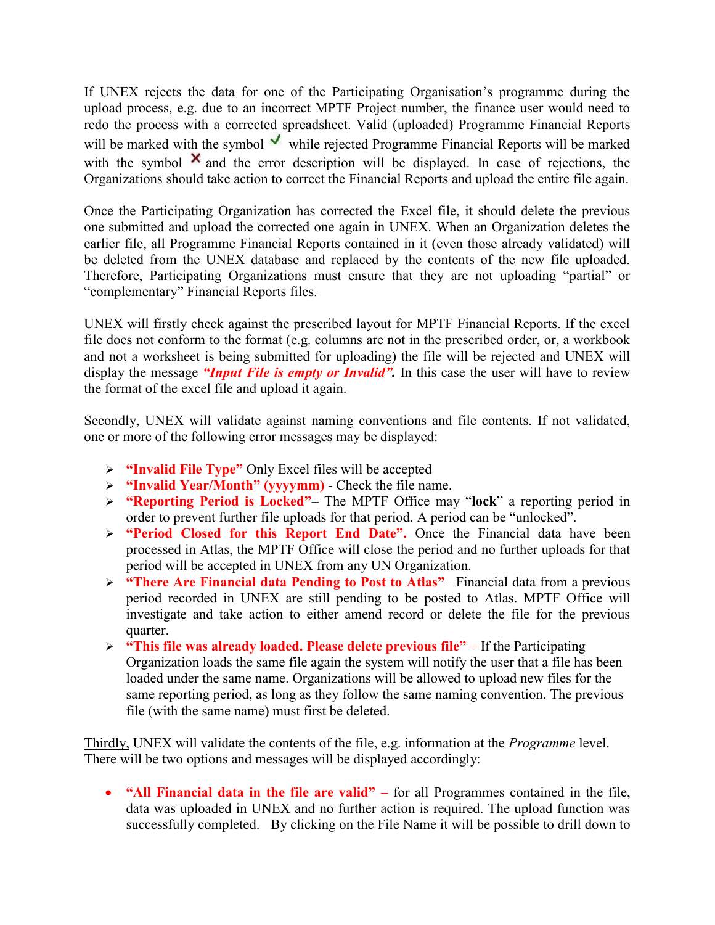If UNEX rejects the data for one of the Participating Organisation's programme during the upload process, e.g. due to an incorrect MPTF Project number, the finance user would need to redo the process with a corrected spreadsheet. Valid (uploaded) Programme Financial Reports will be marked with the symbol  $\vee$  while rejected Programme Financial Reports will be marked with the symbol  $\times$  and the error description will be displayed. In case of rejections, the Organizations should take action to correct the Financial Reports and upload the entire file again.

Once the Participating Organization has corrected the Excel file, it should delete the previous one submitted and upload the corrected one again in UNEX. When an Organization deletes the earlier file, all Programme Financial Reports contained in it (even those already validated) will be deleted from the UNEX database and replaced by the contents of the new file uploaded. Therefore, Participating Organizations must ensure that they are not uploading "partial" or "complementary" Financial Reports files.

UNEX will firstly check against the prescribed layout for MPTF Financial Reports. If the excel file does not conform to the format (e.g. columns are not in the prescribed order, or, a workbook and not a worksheet is being submitted for uploading) the file will be rejected and UNEX will display the message *"Input File is empty or Invalid".* In this case the user will have to review the format of the excel file and upload it again.

Secondly, UNEX will validate against naming conventions and file contents. If not validated, one or more of the following error messages may be displayed:

- **"Invalid File Type"** Only Excel files will be accepted
- **"Invalid Year/Month" (yyyymm)**  Check the file name.
- **"Reporting Period is Locked"** The MPTF Office may "**lock**" a reporting period in order to prevent further file uploads for that period. A period can be "unlocked".
- **"Period Closed for this Report End Date".** Once the Financial data have been processed in Atlas, the MPTF Office will close the period and no further uploads for that period will be accepted in UNEX from any UN Organization.
- **"There Are Financial data Pending to Post to Atlas"** Financial data from a previous period recorded in UNEX are still pending to be posted to Atlas. MPTF Office will investigate and take action to either amend record or delete the file for the previous quarter.
- **"This file was already loaded. Please delete previous file"**  If the Participating Organization loads the same file again the system will notify the user that a file has been loaded under the same name. Organizations will be allowed to upload new files for the same reporting period, as long as they follow the same naming convention. The previous file (with the same name) must first be deleted.

Thirdly, UNEX will validate the contents of the file, e.g. information at the *Programme* level. There will be two options and messages will be displayed accordingly:

 **"All Financial data in the file are valid" –** for all Programmes contained in the file, data was uploaded in UNEX and no further action is required. The upload function was successfully completed. By clicking on the File Name it will be possible to drill down to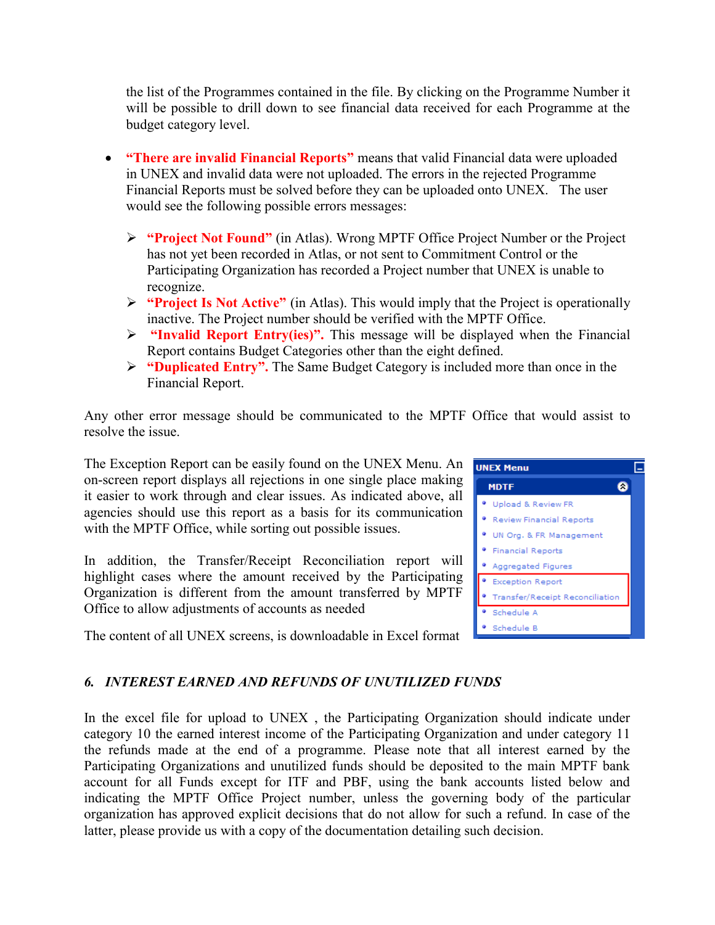the list of the Programmes contained in the file. By clicking on the Programme Number it will be possible to drill down to see financial data received for each Programme at the budget category level.

- **"There are invalid Financial Reports"** means that valid Financial data were uploaded in UNEX and invalid data were not uploaded. The errors in the rejected Programme Financial Reports must be solved before they can be uploaded onto UNEX. The user would see the following possible errors messages:
	- **"Project Not Found"** (in Atlas). Wrong MPTF Office Project Number or the Project has not yet been recorded in Atlas, or not sent to Commitment Control or the Participating Organization has recorded a Project number that UNEX is unable to recognize.
	- **"Project Is Not Active"** (in Atlas). This would imply that the Project is operationally inactive. The Project number should be verified with the MPTF Office.
	- **"Invalid Report Entry(ies)".** This message will be displayed when the Financial Report contains Budget Categories other than the eight defined.
	- **"Duplicated Entry".** The Same Budget Category is included more than once in the Financial Report.

Any other error message should be communicated to the MPTF Office that would assist to resolve the issue.

The Exception Report can be easily found on the UNEX Menu. An on-screen report displays all rejections in one single place making it easier to work through and clear issues. As indicated above, all agencies should use this report as a basis for its communication with the MPTF Office, while sorting out possible issues.

In addition, the Transfer/Receipt Reconciliation report will highlight cases where the amount received by the Participating Organization is different from the amount transferred by MPTF Office to allow adjustments of accounts as needed

The content of all UNEX screens, is downloadable in Excel format



# *6. INTEREST EARNED AND REFUNDS OF UNUTILIZED FUNDS*

In the excel file for upload to UNEX , the Participating Organization should indicate under category 10 the earned interest income of the Participating Organization and under category 11 the refunds made at the end of a programme. Please note that all interest earned by the Participating Organizations and unutilized funds should be deposited to the main MPTF bank account for all Funds except for ITF and PBF, using the bank accounts listed below and indicating the MPTF Office Project number, unless the governing body of the particular organization has approved explicit decisions that do not allow for such a refund. In case of the latter, please provide us with a copy of the documentation detailing such decision.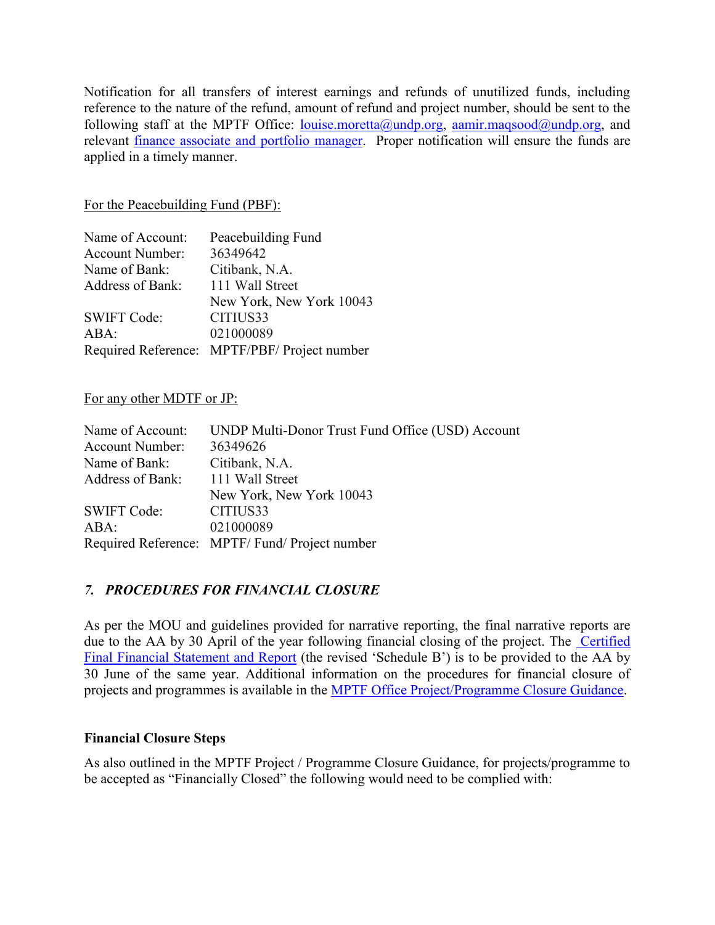Notification for all transfers of interest earnings and refunds of unutilized funds, including reference to the nature of the refund, amount of refund and project number, should be sent to the following staff at the MPTF Office: [louise.moretta@undp.org,](mailto:louise.moretta@undp.org) [aamir.maqsood@undp.org,](mailto:aamir.maqsood@undp.org) and relevant [finance associate and portfolio manager.](http://mdtf.undp.org/general/contact) Proper notification will ensure the funds are applied in a timely manner.

#### For the Peacebuilding Fund (PBF):

| Name of Account:       | Peacebuilding Fund                           |
|------------------------|----------------------------------------------|
| <b>Account Number:</b> | 36349642                                     |
| Name of Bank:          | Citibank, N.A.                               |
| Address of Bank:       | 111 Wall Street                              |
|                        | New York, New York 10043                     |
| <b>SWIFT Code:</b>     | CITIUS33                                     |
| ABA:                   | 021000089                                    |
|                        | Required Reference: MPTF/PBF/ Project number |

#### For any other MDTF or JP:

| Name of Account:       | UNDP Multi-Donor Trust Fund Office (USD) Account |
|------------------------|--------------------------------------------------|
| <b>Account Number:</b> | 36349626                                         |
| Name of Bank:          | Citibank, N.A.                                   |
| Address of Bank:       | 111 Wall Street                                  |
|                        | New York, New York 10043                         |
| <b>SWIFT Code:</b>     | CITIUS33                                         |
| ABA:                   | 021000089                                        |
|                        | Required Reference: MPTF/Fund/Project number     |

### *7. PROCEDURES FOR FINANCIAL CLOSURE*

As per the MOU and guidelines provided for narrative reporting, the final narrative reports are due to the AA by 30 April of the year following financial closing of the project. The Certified [Final Financial Statement and Report](http://mdtf.undp.org/document/download/5388) (the revised 'Schedule B') is to be provided to the AA by 30 June of the same year. Additional information on the procedures for financial closure of projects and programmes is available in the [MPTF Office Project/Programme Closure Guidance.](http://mdtf.undp.org/document/download/5449)

#### **Financial Closure Steps**

As also outlined in the MPTF Project / Programme Closure Guidance, for projects/programme to be accepted as "Financially Closed" the following would need to be complied with: